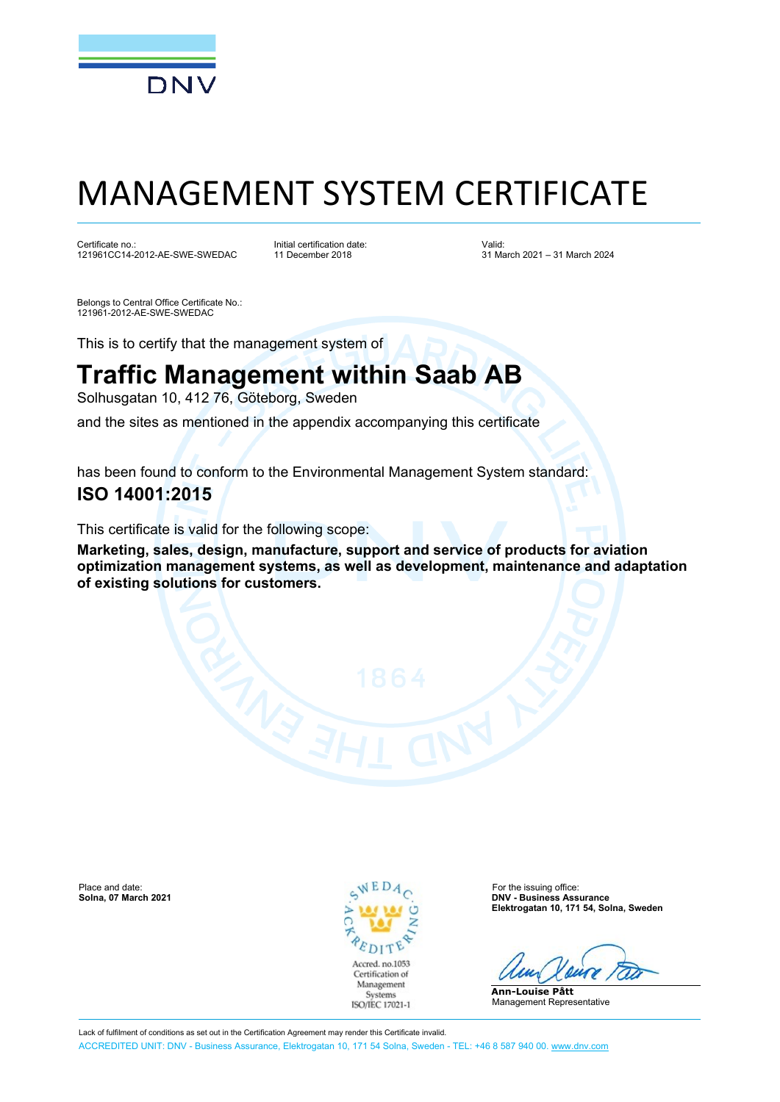

# MANAGEMENT SYSTEM CERTIFICATE

Certificate no.: 121961CC14-2012-AE-SWE-SWEDAC Initial certification date: 11 December 2018

Valid: 31 March 2021 – 31 March 2024

Belongs to Central Office Certificate No.: 121961-2012-AE-SWE-SWEDAC

This is to certify that the management system of

## **Traffic Management within Saab AB**

Solhusgatan 10, 412 76, Göteborg, Sweden

and the sites as mentioned in the appendix accompanying this certificate

has been found to conform to the Environmental Management System standard:

### **ISO 14001:2015**

This certificate is valid for the following scope:

**Marketing, sales, design, manufacture, support and service of products for aviation optimization management systems, as well as development, maintenance and adaptation of existing solutions for customers.**

Place and date: For the issuing office:<br>
Solna, 07 March 2021 C Bolna, 07 March 2021



**Solna, 07 March 2021 DNV - Business Assurance Elektrogatan 10, 171 54, Solna, Sweden**

**Ann-Louise Pått** Management Representative